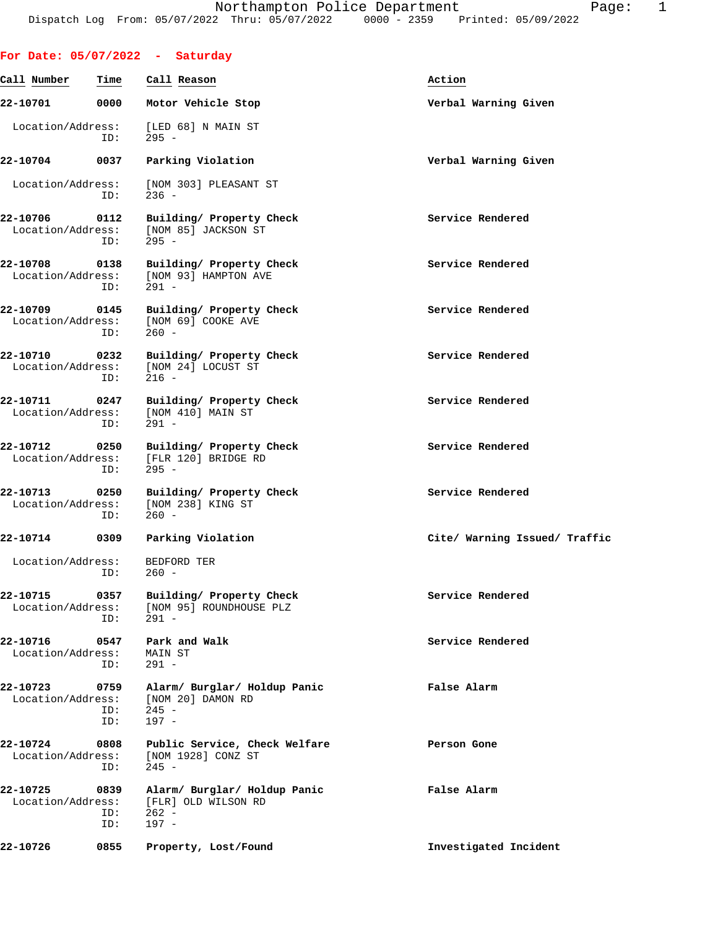|                               |                    | For Date: $05/07/2022 - Saturday$                                       |                               |
|-------------------------------|--------------------|-------------------------------------------------------------------------|-------------------------------|
| Call Number                   | Time               | Call Reason                                                             | Action                        |
| 22-10701                      | 0000               | Motor Vehicle Stop                                                      | Verbal Warning Given          |
| Location/Address:             | ID:                | [LED 68] N MAIN ST<br>$295 -$                                           |                               |
| 22-10704                      | 0037               | Parking Violation                                                       | Verbal Warning Given          |
| Location/Address:             | ID:                | [NOM 303] PLEASANT ST<br>$236 -$                                        |                               |
| 22-10706<br>Location/Address: | 0112<br>ID:        | Building/ Property Check<br>[NOM 85] JACKSON ST<br>$295 -$              | Service Rendered              |
| 22-10708<br>Location/Address: | 0138<br>ID:        | Building/ Property Check<br>[NOM 93] HAMPTON AVE<br>$291 -$             | Service Rendered              |
| 22-10709<br>Location/Address: | 0145<br>ID:        | Building/ Property Check<br>[NOM 69] COOKE AVE<br>$260 -$               | Service Rendered              |
| 22-10710<br>Location/Address: | 0232<br>ID:        | Building/ Property Check<br>[NOM 24] LOCUST ST<br>$216 -$               | Service Rendered              |
| 22-10711<br>Location/Address: | 0247<br>ID:        | Building/ Property Check<br>[NOM 410] MAIN ST<br>$291 -$                | Service Rendered              |
| 22-10712<br>Location/Address: | 0250<br>ID:        | Building/ Property Check<br>[FLR 120] BRIDGE RD<br>$295 -$              | Service Rendered              |
| 22-10713<br>Location/Address: | 0250<br>ID:        | Building/ Property Check<br>[NOM 238] KING ST<br>$260 -$                | Service Rendered              |
| 22-10714                      | 0309               | Parking Violation                                                       | Cite/ Warning Issued/ Traffic |
| Location/Address:             | ID:                | <b>BEDFORD TER</b><br>$260 -$                                           |                               |
| 22-10715<br>Location/Address: | 0357<br>ID:        | Building/ Property Check<br>[NOM 95] ROUNDHOUSE PLZ<br>291 -            | Service Rendered              |
| 22-10716<br>Location/Address: | 0547<br>ID:        | Park and Walk<br>MAIN ST<br>$291 -$                                     | Service Rendered              |
| 22-10723<br>Location/Address: | 0759<br>ID:<br>ID: | Alarm/ Burglar/ Holdup Panic<br>[NOM 20] DAMON RD<br>$245 -$<br>$197 -$ | False Alarm                   |
| 22-10724<br>Location/Address: | 0808<br>ID:        | Public Service, Check Welfare<br>[NOM 1928] CONZ ST<br>$245 -$          | Person Gone                   |
| 22-10725<br>Location/Address: | 0839<br>ID:<br>ID: | Alarm/ Burglar/ Holdup Panic<br>[FLR] OLD WILSON RD<br>$262 -$<br>197 - | False Alarm                   |
| 22-10726                      | 0855               | Property, Lost/Found                                                    | Investigated Incident         |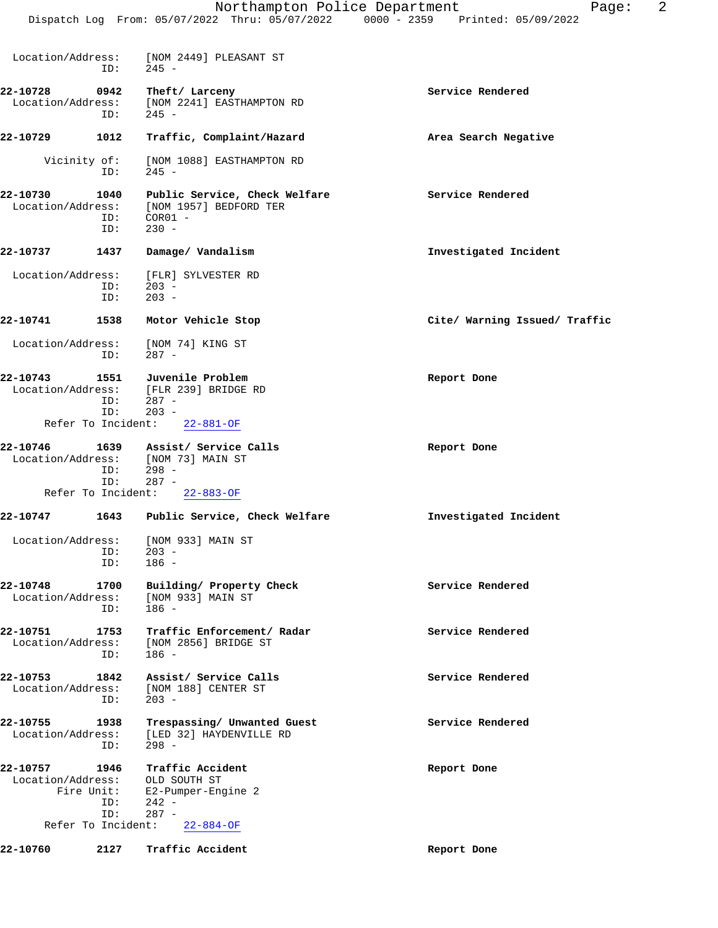|            | $l$ age. |
|------------|----------|
| 05/09/2022 |          |

| Location/Address:                                   | ID:                              | [NOM 2449] PLEASANT ST<br>$245 -$                                                                  |                               |
|-----------------------------------------------------|----------------------------------|----------------------------------------------------------------------------------------------------|-------------------------------|
| 22-10728<br>Location/Address:                       | 0942<br>ID:                      | Theft/ Larceny<br>[NOM 2241] EASTHAMPTON RD<br>$245 -$                                             | Service Rendered              |
| 22-10729                                            | 1012                             | Traffic, Complaint/Hazard                                                                          | Area Search Negative          |
| Vicinity of:                                        | ID:                              | [NOM 1088] EASTHAMPTON RD<br>$245 -$                                                               |                               |
| 22-10730<br>Location/Address:                       | 1040<br>ID:<br>ID:               | Public Service, Check Welfare<br>[NOM 1957] BEDFORD TER<br>$COR01 -$<br>$230 -$                    | Service Rendered              |
| 22-10737                                            | 1437                             | Damage/ Vandalism                                                                                  | Investigated Incident         |
| Location/Address:                                   | ID:<br>ID:                       | [FLR] SYLVESTER RD<br>$203 -$<br>$203 -$                                                           |                               |
| 22-10741                                            | 1538                             | Motor Vehicle Stop                                                                                 | Cite/ Warning Issued/ Traffic |
| Location/Address:                                   | ID:                              | [NOM 74] KING ST<br>$287 -$                                                                        |                               |
| 22-10743<br>Refer To Incident:                      | 1551<br>ID:<br>ID:               | Juvenile Problem<br>Location/Address: [FLR 239] BRIDGE RD<br>$287 -$<br>$203 -$<br>$22 - 881 - OF$ | Report Done                   |
| 22-10746                                            | 1639                             | Assist/ Service Calls                                                                              | Report Done                   |
|                                                     | ID:<br>ID:                       | Location/Address: [NOM 73] MAIN ST<br>$298 -$<br>$287 -$                                           |                               |
| Refer To Incident:                                  |                                  | $22 - 883 - OF$                                                                                    |                               |
| 22-10747                                            | 1643                             | Public Service, Check Welfare                                                                      | Investigated Incident         |
| Location/Address:                                   | ID:<br>ID:                       | [NOM 933] MAIN ST<br>$203 -$<br>$186 -$                                                            |                               |
| 22-10748<br>Location/Address:                       | 1700<br>ID:                      | Building/ Property Check<br>[NOM 933] MAIN ST<br>$186 -$                                           | Service Rendered              |
| 22-10751<br>Location/Address:                       | 1753<br>ID:                      | Traffic Enforcement/ Radar<br>[NOM 2856] BRIDGE ST<br>$186 -$                                      | Service Rendered              |
| 22-10753<br>Location/Address:                       | 1842<br>ID:                      | Assist/ Service Calls<br>[NOM 188] CENTER ST<br>$203 -$                                            | Service Rendered              |
| 22-10755<br>Location/Address:                       | 1938<br>ID:                      | Trespassing/ Unwanted Guest<br>[LED 32] HAYDENVILLE RD<br>$298 -$                                  | Service Rendered              |
| 22-10757<br>Location/Address:<br>Refer To Incident: | 1946<br>Fire Unit:<br>ID:<br>ID: | Traffic Accident<br>OLD SOUTH ST<br>E2-Pumper-Engine 2<br>$242 -$<br>$287 -$<br>$22 - 884 - OF$    | Report Done                   |
| 22-10760                                            | 2127                             | Traffic Accident                                                                                   | Report Done                   |